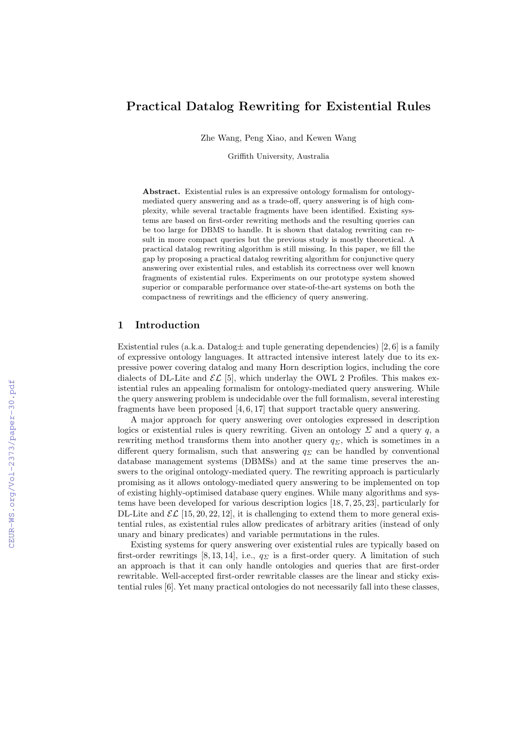# Practical Datalog Rewriting for Existential Rules

Zhe Wang, Peng Xiao, and Kewen Wang

Griffith University, Australia

Abstract. Existential rules is an expressive ontology formalism for ontologymediated query answering and as a trade-off, query answering is of high complexity, while several tractable fragments have been identified. Existing systems are based on first-order rewriting methods and the resulting queries can be too large for DBMS to handle. It is shown that datalog rewriting can result in more compact queries but the previous study is mostly theoretical. A practical datalog rewriting algorithm is still missing. In this paper, we fill the gap by proposing a practical datalog rewriting algorithm for conjunctive query answering over existential rules, and establish its correctness over well known fragments of existential rules. Experiments on our prototype system showed superior or comparable performance over state-of-the-art systems on both the compactness of rewritings and the efficiency of query answering.

### 1 Introduction

Existential rules (a.k.a. Datalog  $\pm$  and tuple generating dependencies) [2, 6] is a family of expressive ontology languages. It attracted intensive interest lately due to its expressive power covering datalog and many Horn description logics, including the core dialects of DL-Lite and  $\mathcal{EL}$  [5], which underlay the OWL 2 Profiles. This makes existential rules an appealing formalism for ontology-mediated query answering. While the query answering problem is undecidable over the full formalism, several interesting fragments have been proposed [4, 6, 17] that support tractable query answering.

A major approach for query answering over ontologies expressed in description logics or existential rules is query rewriting. Given an ontology  $\Sigma$  and a query q, a rewriting method transforms them into another query  $q_{\Sigma}$ , which is sometimes in a different query formalism, such that answering  $q_{\Sigma}$  can be handled by conventional database management systems (DBMSs) and at the same time preserves the answers to the original ontology-mediated query. The rewriting approach is particularly promising as it allows ontology-mediated query answering to be implemented on top of existing highly-optimised database query engines. While many algorithms and systems have been developed for various description logics [18, 7, 25, 23], particularly for DL-Lite and  $\mathcal{EL}$  [15, 20, 22, 12], it is challenging to extend them to more general existential rules, as existential rules allow predicates of arbitrary arities (instead of only unary and binary predicates) and variable permutations in the rules.

Existing systems for query answering over existential rules are typically based on first-order rewritings [8, 13, 14], i.e.,  $q_{\Sigma}$  is a first-order query. A limitation of such an approach is that it can only handle ontologies and queries that are first-order rewritable. Well-accepted first-order rewritable classes are the linear and sticky existential rules [6]. Yet many practical ontologies do not necessarily fall into these classes,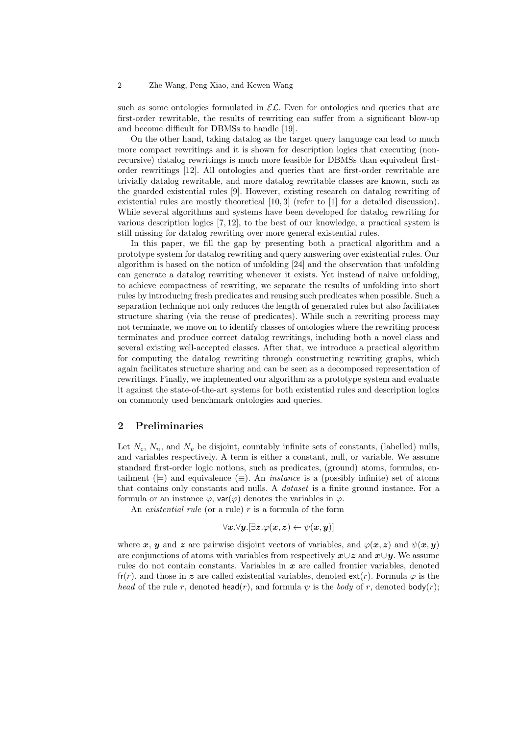#### 2 Zhe Wang, Peng Xiao, and Kewen Wang

such as some ontologies formulated in  $\mathcal{EL}$ . Even for ontologies and queries that are first-order rewritable, the results of rewriting can suffer from a significant blow-up and become difficult for DBMSs to handle [19].

On the other hand, taking datalog as the target query language can lead to much more compact rewritings and it is shown for description logics that executing (nonrecursive) datalog rewritings is much more feasible for DBMSs than equivalent firstorder rewritings [12]. All ontologies and queries that are first-order rewritable are trivially datalog rewritable, and more datalog rewritable classes are known, such as the guarded existential rules [9]. However, existing research on datalog rewriting of existential rules are mostly theoretical [10,3] (refer to [1] for a detailed discussion). While several algorithms and systems have been developed for datalog rewriting for various description logics [7, 12], to the best of our knowledge, a practical system is still missing for datalog rewriting over more general existential rules.

In this paper, we fill the gap by presenting both a practical algorithm and a prototype system for datalog rewriting and query answering over existential rules. Our algorithm is based on the notion of unfolding [24] and the observation that unfolding can generate a datalog rewriting whenever it exists. Yet instead of naive unfolding, to achieve compactness of rewriting, we separate the results of unfolding into short rules by introducing fresh predicates and reusing such predicates when possible. Such a separation technique not only reduces the length of generated rules but also facilitates structure sharing (via the reuse of predicates). While such a rewriting process may not terminate, we move on to identify classes of ontologies where the rewriting process terminates and produce correct datalog rewritings, including both a novel class and several existing well-accepted classes. After that, we introduce a practical algorithm for computing the datalog rewriting through constructing rewriting graphs, which again facilitates structure sharing and can be seen as a decomposed representation of rewritings. Finally, we implemented our algorithm as a prototype system and evaluate it against the state-of-the-art systems for both existential rules and description logics on commonly used benchmark ontologies and queries.

#### 2 Preliminaries

Let  $N_c$ ,  $N_n$ , and  $N_v$  be disjoint, countably infinite sets of constants, (labelled) nulls, and variables respectively. A term is either a constant, null, or variable. We assume standard first-order logic notions, such as predicates, (ground) atoms, formulas, entailment ( $\models$ ) and equivalence  $(\equiv)$ . An *instance* is a (possibly infinite) set of atoms that contains only constants and nulls. A dataset is a finite ground instance. For a formula or an instance  $\varphi$ , var $(\varphi)$  denotes the variables in  $\varphi$ .

An existential rule (or a rule)  $r$  is a formula of the form

$$
\forall \boldsymbol{x}.\forall \boldsymbol{y}.[\exists \boldsymbol{z}.\varphi(\boldsymbol{x},\boldsymbol{z}) \gets \psi(\boldsymbol{x},\boldsymbol{y})]
$$

where x, y and z are pairwise disjoint vectors of variables, and  $\varphi(x, z)$  and  $\psi(x, y)$ are conjunctions of atoms with variables from respectively  $x\cup z$  and  $x\cup y$ . We assume rules do not contain constants. Variables in  $x$  are called frontier variables, denoted fr(r). and those in z are called existential variables, denoted  $ext(r)$ . Formula  $\varphi$  is the head of the rule r, denoted head(r), and formula  $\psi$  is the body of r, denoted body(r);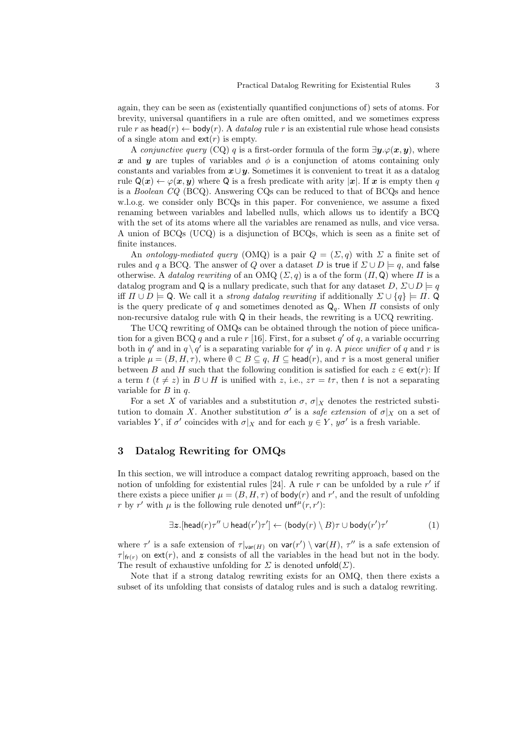again, they can be seen as (existentially quantified conjunctions of) sets of atoms. For brevity, universal quantifiers in a rule are often omitted, and we sometimes express rule r as head(r)  $\leftarrow$  body(r). A *datalog* rule r is an existential rule whose head consists of a single atom and  $ext(r)$  is empty.

A conjunctive query (CQ) q is a first-order formula of the form  $\exists u.\varphi(\mathbf{x}, \mathbf{u})$ , where x and y are tuples of variables and  $\phi$  is a conjunction of atoms containing only constants and variables from  $x \cup y$ . Sometimes it is convenient to treat it as a datalog rule  $Q(x) \leftarrow \varphi(x, y)$  where Q is a fresh predicate with arity |x|. If x is empty then q is a Boolean CQ (BCQ). Answering CQs can be reduced to that of BCQs and hence w.l.o.g. we consider only BCQs in this paper. For convenience, we assume a fixed renaming between variables and labelled nulls, which allows us to identify a BCQ with the set of its atoms where all the variables are renamed as nulls, and vice versa. A union of BCQs (UCQ) is a disjunction of BCQs, which is seen as a finite set of finite instances.

An ontology-mediated query (OMQ) is a pair  $Q = (\Sigma, q)$  with  $\Sigma$  a finite set of rules and q a BCQ. The answer of Q over a dataset D is true if  $\Sigma \cup D = q$ , and false otherwise. A datalog rewriting of an OMQ  $(\Sigma, q)$  is a of the form  $(\Pi, Q)$  where  $\Pi$  is a datalog program and Q is a nullary predicate, such that for any dataset  $D, \Sigma \cup D \models q$ iff  $\Pi \cup D \models Q$ . We call it a *strong datalog rewriting* if additionally  $\Sigma \cup \{q\} \models \Pi$ . is the query predicate of q and sometimes denoted as  $\mathsf{Q}_q$ . When  $\Pi$  consists of only non-recursive datalog rule with Q in their heads, the rewriting is a UCQ rewriting.

The UCQ rewriting of OMQs can be obtained through the notion of piece unification for a given BCQ q and a rule  $r$  [16]. First, for a subset  $q'$  of q, a variable occurring both in q' and in  $q \setminus q'$  is a separating variable for q' in q. A piece unifier of q and r is a triple  $\mu = (B, H, \tau)$ , where  $\emptyset \subset B \subseteq q$ ,  $H \subseteq$  head(r), and  $\tau$  is a most general unifier between B and H such that the following condition is satisfied for each  $z \in ext(r)$ : If a term t  $(t \neq z)$  in  $B \cup H$  is unified with z, i.e.,  $z\tau = t\tau$ , then t is not a separating variable for  $B$  in  $q$ .

For a set X of variables and a substitution  $\sigma$ ,  $\sigma|_X$  denotes the restricted substitution to domain X. Another substitution  $\sigma'$  is a safe extension of  $\sigma|_X$  on a set of variables Y, if  $\sigma'$  coincides with  $\sigma|_X$  and for each  $y \in Y$ ,  $y\sigma'$  is a fresh variable.

## 3 Datalog Rewriting for OMQs

In this section, we will introduce a compact datalog rewriting approach, based on the notion of unfolding for existential rules [24]. A rule  $r$  can be unfolded by a rule  $r'$  if there exists a piece unifier  $\mu = (B, H, \tau)$  of body(*r*) and r', and the result of unfolding r by r' with  $\mu$  is the following rule denoted  $\mathsf{unf}^{\mu}(r,r')$ :

$$
\exists z. \text{[head}(r)\tau'' \cup \text{head}(r')\tau' ] \leftarrow (\text{body}(r) \setminus B)\tau \cup \text{body}(r')\tau' \tag{1}
$$

where  $\tau'$  is a safe extension of  $\tau|_{var(H)}$  on  $var(r') \setminus var(H)$ ,  $\tau''$  is a safe extension of  $\tau|_{f(r)}$  on ext(r), and z consists of all the variables in the head but not in the body. The result of exhaustive unfolding for  $\Sigma$  is denoted unfold $(\Sigma)$ .

Note that if a strong datalog rewriting exists for an OMQ, then there exists a subset of its unfolding that consists of datalog rules and is such a datalog rewriting.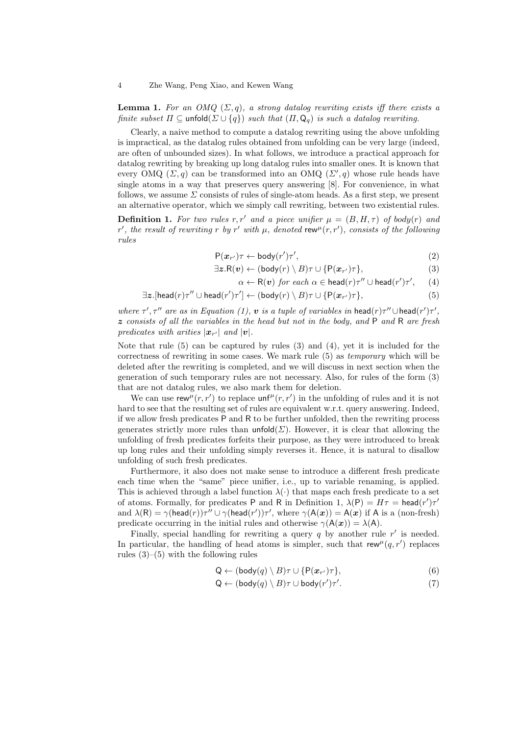**Lemma 1.** For an OMQ  $(\Sigma, q)$ , a strong datalog rewriting exists iff there exists a finite subset  $\Pi \subseteq \text{unfold}(\Sigma \cup \{q\})$  such that  $(\Pi, \mathsf{Q}_q)$  is such a datalog rewriting.

Clearly, a naive method to compute a datalog rewriting using the above unfolding is impractical, as the datalog rules obtained from unfolding can be very large (indeed, are often of unbounded sizes). In what follows, we introduce a practical approach for datalog rewriting by breaking up long datalog rules into smaller ones. It is known that every OMQ  $(\Sigma, q)$  can be transformed into an OMQ  $(\Sigma', q)$  whose rule heads have single atoms in a way that preserves query answering [8]. For convenience, in what follows, we assume  $\Sigma$  consists of rules of single-atom heads. As a first step, we present an alternative operator, which we simply call rewriting, between two existential rules.

**Definition 1.** For two rules r, r' and a piece unifier  $\mu = (B, H, \tau)$  of body(r) and r', the result of rewriting r by r' with  $\mu$ , denoted rew<sup> $\mu$ </sup>(r,r'), consists of the following rules

$$
P(\boldsymbol{x}_{r'})\tau \leftarrow body(r')\tau',\tag{2}
$$

$$
\exists z. \mathsf{R}(v) \leftarrow (\mathsf{body}(r) \setminus B)\tau \cup \{\mathsf{P}(\boldsymbol{x}_{r'})\tau\},\tag{3}
$$

$$
\alpha \leftarrow \mathsf{R}(v) \text{ for each } \alpha \in \mathsf{head}(r)\tau'' \cup \mathsf{head}(r')\tau', \qquad (4)
$$

$$
\exists z. [\mathsf{head}(r)\tau'' \cup \mathsf{head}(r')\tau'] \leftarrow (\mathsf{body}(r) \setminus B)\tau \cup \{\mathsf{P}(\boldsymbol{x}_{r'})\tau\},\tag{5}
$$

where  $\tau'$ ,  $\tau''$  are as in Equation (1),  $\boldsymbol{v}$  is a tuple of variables in head(r) $\tau'' \cup$ head(r') $\tau'$ ,  $z$  consists of all the variables in the head but not in the body, and  $P$  and  $R$  are fresh predicates with arities  $|\boldsymbol{x}_{r'}|$  and  $|\boldsymbol{v}|$ .

Note that rule  $(5)$  can be captured by rules  $(3)$  and  $(4)$ , yet it is included for the correctness of rewriting in some cases. We mark rule (5) as temporary which will be deleted after the rewriting is completed, and we will discuss in next section when the generation of such temporary rules are not necessary. Also, for rules of the form (3) that are not datalog rules, we also mark them for deletion.

We can use rew<sup> $\mu$ </sup> $(r, r')$  to replace unf<sup> $\mu$ </sup> $(r, r')$  in the unfolding of rules and it is not hard to see that the resulting set of rules are equivalent w.r.t. query answering. Indeed, if we allow fresh predicates P and R to be further unfolded, then the rewriting process generates strictly more rules than  $\text{unfold}(\Sigma)$ . However, it is clear that allowing the unfolding of fresh predicates forfeits their purpose, as they were introduced to break up long rules and their unfolding simply reverses it. Hence, it is natural to disallow unfolding of such fresh predicates.

Furthermore, it also does not make sense to introduce a different fresh predicate each time when the "same" piece unifier, i.e., up to variable renaming, is applied. This is achieved through a label function  $\lambda(\cdot)$  that maps each fresh predicate to a set of atoms. Formally, for predicates P and R in Definition 1,  $\lambda(P) = H\tau = \text{head}(r')\tau'$ and  $\lambda(R) = \gamma(\text{head}(r))\tau'' \cup \gamma(\text{head}(r'))\tau'$ , where  $\gamma(A(x)) = A(x)$  if A is a (non-fresh) predicate occurring in the initial rules and otherwise  $\gamma(A(\boldsymbol{x})) = \lambda(A)$ .

Finally, special handling for rewriting a query  $q$  by another rule  $r'$  is needed. In particular, the handling of head atoms is simpler, such that rew<sup> $\mu$ </sup> $(q, r')$  replaces rules  $(3)$ – $(5)$  with the following rules

$$
Q \leftarrow (body(q) \setminus B)\tau \cup \{P(\boldsymbol{x}_{r'})\tau\},\tag{6}
$$

$$
Q \leftarrow (body(q) \setminus B)\tau \cup body(r')\tau'. \tag{7}
$$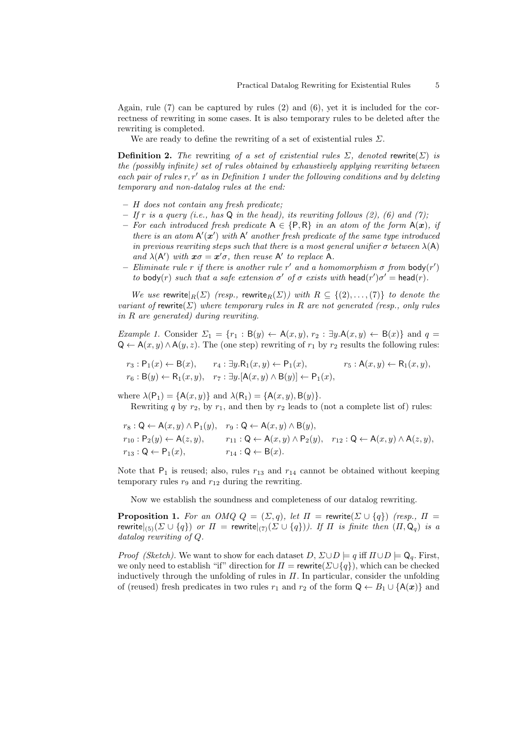Again, rule (7) can be captured by rules (2) and (6), yet it is included for the correctness of rewriting in some cases. It is also temporary rules to be deleted after the rewriting is completed.

We are ready to define the rewriting of a set of existential rules  $\Sigma$ .

**Definition 2.** The rewriting of a set of existential rules  $\Sigma$ , denoted rewrite( $\Sigma$ ) is the (possibly infinite) set of rules obtained by exhaustively applying rewriting between each pair of rules  $r, r'$  as in Definition 1 under the following conditions and by deleting temporary and non-datalog rules at the end:

- H does not contain any fresh predicate;
- If r is a query (i.e., has  $Q$  in the head), its rewriting follows (2), (6) and (7);
- For each introduced fresh predicate  $A \in \{P, R\}$  in an atom of the form  $A(x)$ , if there is an atom  $A'(\mathbf{x}')$  with  $A'$  another fresh predicate of the same type introduced in previous rewriting steps such that there is a most general unifier  $\sigma$  between  $\lambda(A)$ and  $\lambda(A')$  with  $x\sigma = x'\sigma$ , then reuse A' to replace A.
- Eliminate rule r if there is another rule r' and a homomorphism  $\sigma$  from  $\text{body}(r')$ to body(r) such that a safe extension  $\sigma'$  of  $\sigma$  exists with head(r') $\sigma'$  = head(r).

We use rewrite $_R(\Sigma)$  (resp., rewrite $_R(\Sigma)$ ) with  $R \subseteq \{(2), \ldots, (7)\}$  to denote the variant of rewrite( $\Sigma$ ) where temporary rules in R are not generated (resp., only rules in R are generated) during rewriting.

Example 1. Consider  $\Sigma_1 = \{r_1 : B(y) \leftarrow A(x, y), r_2 : \exists y.A(x, y) \leftarrow B(x)\}\$ and  $q =$  $Q \leftarrow A(x, y) \land A(y, z)$ . The (one step) rewriting of  $r_1$  by  $r_2$  results the following rules:

$$
r_3: \mathsf{P}_1(x) \leftarrow \mathsf{B}(x), \qquad r_4: \exists y. \mathsf{R}_1(x, y) \leftarrow \mathsf{P}_1(x), \qquad r_5: \mathsf{A}(x, y) \leftarrow \mathsf{R}_1(x, y),
$$

$$
r_6: \mathsf{B}(y) \leftarrow \mathsf{R}_1(x, y), \quad r_7: \exists y. [\mathsf{A}(x, y) \wedge \mathsf{B}(y)] \leftarrow \mathsf{P}_1(x),
$$

where  $\lambda(\mathsf{P}_1) = \{\mathsf{A}(x,y)\}\$ and  $\lambda(\mathsf{R}_1) = \{\mathsf{A}(x,y),\mathsf{B}(y)\}.$ Rewriting q by  $r_2$ , by  $r_1$ , and then by  $r_2$  leads to (not a complete list of) rules:

$$
r_8: \mathsf{Q} \leftarrow \mathsf{A}(x, y) \land \mathsf{P}_1(y), \quad r_9: \mathsf{Q} \leftarrow \mathsf{A}(x, y) \land \mathsf{B}(y),
$$
  
\n
$$
r_{10}: \mathsf{P}_2(y) \leftarrow \mathsf{A}(z, y), \qquad r_{11}: \mathsf{Q} \leftarrow \mathsf{A}(x, y) \land \mathsf{P}_2(y), \quad r_{12}: \mathsf{Q} \leftarrow \mathsf{A}(x, y) \land \mathsf{A}(z, y),
$$
  
\n
$$
r_{13}: \mathsf{Q} \leftarrow \mathsf{P}_1(x), \qquad r_{14}: \mathsf{Q} \leftarrow \mathsf{B}(x).
$$

Note that  $P_1$  is reused; also, rules  $r_{13}$  and  $r_{14}$  cannot be obtained without keeping temporary rules  $r_9$  and  $r_{12}$  during the rewriting.

Now we establish the soundness and completeness of our datalog rewriting.

**Proposition 1.** For an OMQ  $Q = (\Sigma, q)$ , let  $\Pi$  = rewrite( $\Sigma \cup \{q\}$ ) (resp.,  $\Pi$  = rewrite $|_{(5)}(\Sigma \cup \{q\})$  or  $\Pi =$  rewrite $|_{(7)}(\Sigma \cup \{q\})$ . If  $\Pi$  is finite then  $(\Pi, \mathsf{Q}_q)$  is a datalog rewriting of Q.

*Proof (Sketch)*. We want to show for each dataset  $D$ ,  $\Sigma \cup D \models q$  iff  $\Pi \cup D \models \mathsf{Q}_q$ . First, we only need to establish "if" direction for  $\Pi$  = rewrite( $\Sigma \cup \{q\}$ ), which can be checked inductively through the unfolding of rules in  $\Pi$ . In particular, consider the unfolding of (reused) fresh predicates in two rules  $r_1$  and  $r_2$  of the form  $Q \leftarrow B_1 \cup \{A(x)\}\$ and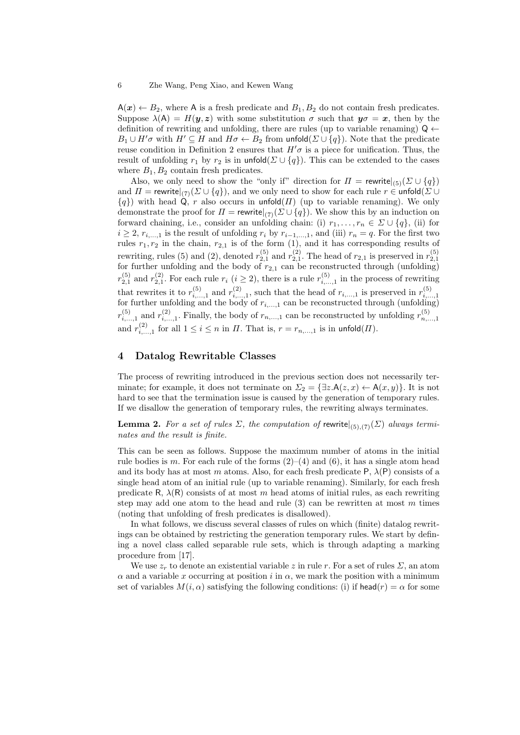$A(x) \leftarrow B_2$ , where A is a fresh predicate and  $B_1, B_2$  do not contain fresh predicates. Suppose  $\lambda(A) = H(y, z)$  with some substitution  $\sigma$  such that  $y\sigma = x$ , then by the definition of rewriting and unfolding, there are rules (up to variable renaming)  $Q \leftarrow$  $B_1 \cup H'\sigma$  with  $H' \subseteq H$  and  $H\sigma \leftarrow B_2$  from unfold( $\Sigma \cup \{q\}$ ). Note that the predicate reuse condition in Definition 2 ensures that  $H'\sigma$  is a piece for unification. Thus, the result of unfolding  $r_1$  by  $r_2$  is in unfold( $\Sigma \cup \{q\}$ ). This can be extended to the cases where  $B_1, B_2$  contain fresh predicates.

Also, we only need to show the "only if" direction for  $\Pi = \text{rewrite}|_{(5)}(\Sigma \cup \{q\})$ and  $\Pi$  = rewrite $|_{(7)}(\Sigma \cup \{q\})$ , and we only need to show for each rule  $r \in \mathsf{unfold}(\Sigma \cup$  $\{q\}$ ) with head Q, r also occurs in unfold( $\Pi$ ) (up to variable renaming). We only demonstrate the proof for  $\Pi = \text{rewrite}|_{(7)}(\Sigma \cup \{q\})$ . We show this by an induction on forward chaining, i.e., consider an unfolding chain: (i)  $r_1, \ldots, r_n \in \Sigma \cup \{q\}$ , (ii) for  $i \geq 2$ ,  $r_{i,\dots,1}$  is the result of unfolding  $r_i$  by  $r_{i-1,\dots,1}$ , and (iii)  $r_n = q$ . For the first two rules  $r_1, r_2$  in the chain,  $r_{2,1}$  is of the form (1), and it has corresponding results of rewriting, rules (5) and (2), denoted  $r_{2,1}^{(5)}$  and  $r_{2,1}^{(2)}$ . The head of  $r_{2,1}$  is preserved in  $r_{2,1}^{(5)}$  for further unfolding and the body of  $r_{2,1}$  can be reconstructed through (unfolding)  $r_{2,1}^{(5)}$  and  $r_{2,1}^{(2)}$ . For each rule  $r_i$   $(i \geq 2)$ , there is a rule  $r_{i,\dots,1}^{(5)}$  in the process of rewriting that rewrites it to  $r_{i,\dots,1}^{(5)}$  and  $r_{i,\dots,1}^{(2)}$ , such that the head of  $r_{i,\dots,1}$  is preserved in  $r_{i,\dots,1}^{(5)}$  for further unfolding and the body of  $r_{i,\dots,1}$  can be reconstructed through (unfolding)  $r_{i,\ldots,1}^{(5)}$  and  $r_{i,\ldots,1}^{(2)}$ . Finally, the body of  $r_{n,\ldots,1}$  can be reconstructed by unfolding  $r_{n,\ldots,1}^{(5)}$ and  $r_{i,\dots,1}^{(2)}$  for all  $1\leq i\leq n$  in  $\Pi$ . That is,  $r=r_{n,\dots,1}$  is in unfold $(\Pi)$ .

### 4 Datalog Rewritable Classes

The process of rewriting introduced in the previous section does not necessarily terminate; for example, it does not terminate on  $\Sigma_2 = \{\exists z.\mathsf{A}(z,x) \leftarrow \mathsf{A}(x,y)\}.$  It is not hard to see that the termination issue is caused by the generation of temporary rules. If we disallow the generation of temporary rules, the rewriting always terminates.

**Lemma 2.** For a set of rules  $\Sigma$ , the computation of rewrite $|_{(5),(7)}(\Sigma)$  always terminates and the result is finite.

This can be seen as follows. Suppose the maximum number of atoms in the initial rule bodies is m. For each rule of the forms  $(2)-(4)$  and  $(6)$ , it has a single atom head and its body has at most m atoms. Also, for each fresh predicate P,  $\lambda(P)$  consists of a single head atom of an initial rule (up to variable renaming). Similarly, for each fresh predicate R,  $\lambda(R)$  consists of at most m head atoms of initial rules, as each rewriting step may add one atom to the head and rule  $(3)$  can be rewritten at most m times (noting that unfolding of fresh predicates is disallowed).

In what follows, we discuss several classes of rules on which (finite) datalog rewritings can be obtained by restricting the generation temporary rules. We start by defining a novel class called separable rule sets, which is through adapting a marking procedure from [17].

We use  $z_r$  to denote an existential variable z in rule r. For a set of rules  $\Sigma$ , an atom  $\alpha$  and a variable x occurring at position i in  $\alpha$ , we mark the position with a minimum set of variables  $M(i, \alpha)$  satisfying the following conditions: (i) if head(r) =  $\alpha$  for some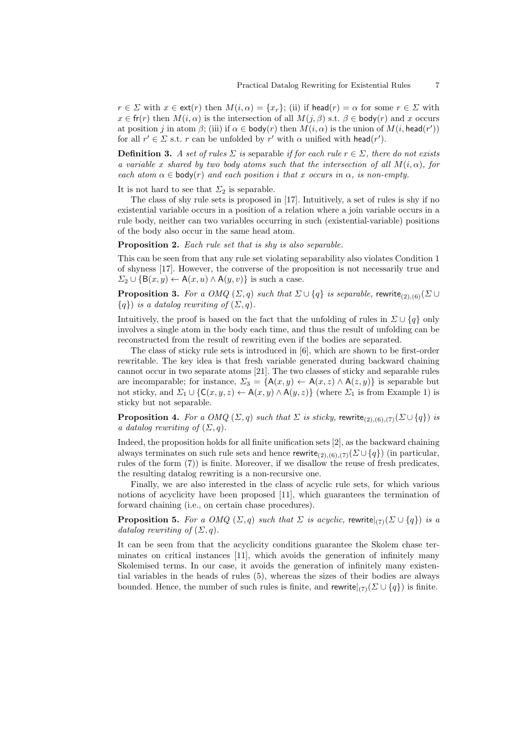$r \in \Sigma$  with  $x \in \text{ext}(r)$  then  $M(i, \alpha) = \{x_r\}$ ; (ii) if head $(r) = \alpha$  for some  $r \in \Sigma$  with  $x \in \text{fr}(r)$  then  $M(i, \alpha)$  is the intersection of all  $M(j, \beta)$  s.t.  $\beta \in \text{body}(r)$  and x occurs at position j in atom  $\beta$ ; (iii) if  $\alpha \in \mathsf{body}(r)$  then  $M(i, \alpha)$  is the union of  $M(i, \mathsf{head}(r'))$ for all  $r' \in \Sigma$  s.t. r can be unfolded by r' with  $\alpha$  unified with head(r').

**Definition 3.** A set of rules  $\Sigma$  is separable if for each rule  $r \in \Sigma$ , there do not exists a variable x shared by two body atoms such that the intersection of all  $M(i, \alpha)$ , for each atom  $\alpha \in \text{body}(r)$  and each position i that x occurs in  $\alpha$ , is non-empty.

It is not hard to see that  $\Sigma_2$  is separable.

The class of shy rule sets is proposed in [17]. Intuitively, a set of rules is shy if no existential variable occurs in a position of a relation where a join variable occurs in a rule body, neither can two variables occurring in such (existential-variable) positions of the body also occur in the same head atom.

Proposition 2. Each rule set that is shy is also separable.

This can be seen from that any rule set violating separability also violates Condition 1 of shyness [17]. However, the converse of the proposition is not necessarily true and  $\Sigma_2 \cup {\mathcal{B}(x, y) \leftarrow \mathsf{A}(x, u) \wedge \mathsf{A}(y, v)}$  is such a case.

**Proposition 3.** For a OMQ  $(\Sigma, q)$  such that  $\Sigma \cup \{q\}$  is separable, rewrite<sub>(2),(6)</sub> $(\Sigma \cup$  ${q}$ ) is a datalog rewriting of  $(\Sigma, q)$ .

Intuitively, the proof is based on the fact that the unfolding of rules in  $\Sigma \cup \{q\}$  only involves a single atom in the body each time, and thus the result of unfolding can be reconstructed from the result of rewriting even if the bodies are separated.

The class of sticky rule sets is introduced in [6], which are shown to be first-order rewritable. The key idea is that fresh variable generated during backward chaining cannot occur in two separate atoms [21]. The two classes of sticky and separable rules are incomparable; for instance,  $\Sigma_3 = \{A(x, y) \leftarrow A(x, z) \wedge A(z, y)\}\$ is separable but not sticky, and  $\Sigma_1 \cup \{C(x, y, z) \leftarrow A(x, y) \land A(y, z)\}\$  (where  $\Sigma_1$  is from Example 1) is sticky but not separable.

**Proposition 4.** For a OMQ  $(\Sigma, q)$  such that  $\Sigma$  is sticky, rewrite<sub>(2),(6),(7)</sub> $(\Sigma \cup \{q\})$  is a datalog rewriting of  $(\Sigma, q)$ .

Indeed, the proposition holds for all finite unification sets [2], as the backward chaining always terminates on such rule sets and hence rewrite<sub>(2),(6)</sub>,(7)( $\Sigma \cup \{q\}$ ) (in particular, rules of the form (7)) is finite. Moreover, if we disallow the reuse of fresh predicates, the resulting datalog rewriting is a non-recursive one.

Finally, we are also interested in the class of acyclic rule sets, for which various notions of acyclicity have been proposed [11], which guarantees the termination of forward chaining (i.e., on certain chase procedures).

**Proposition 5.** For a OMQ  $(\Sigma, q)$  such that  $\Sigma$  is acyclic, rewrite $|_{(7)}(\Sigma \cup \{q\})$  is a datalog rewriting of  $(\Sigma, q)$ .

It can be seen from that the acyclicity conditions guarantee the Skolem chase terminates on critical instances [11], which avoids the generation of infinitely many Skolemised terms. In our case, it avoids the generation of infinitely many existential variables in the heads of rules (5), whereas the sizes of their bodies are always bounded. Hence, the number of such rules is finite, and rewrite $|_{(7)}(\Sigma \cup \{q\})$  is finite.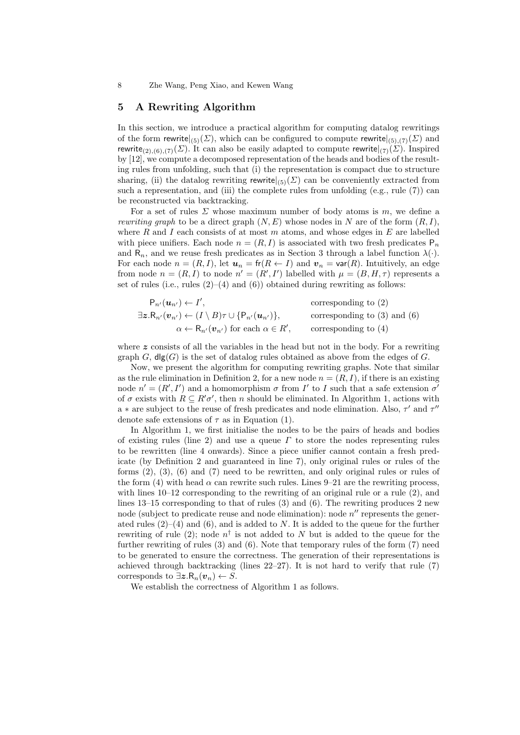8 Zhe Wang, Peng Xiao, and Kewen Wang

#### 5 A Rewriting Algorithm

In this section, we introduce a practical algorithm for computing datalog rewritings of the form rewrite $|_{(5)}(\Sigma)$ , which can be configured to compute rewrite $|_{(5),(7)}(\Sigma)$  and rewrite<sub>(2),(6),(7)</sub>( $\Sigma$ ). It can also be easily adapted to compute rewrite $|_{(7)}(\Sigma)$ . Inspired by [12], we compute a decomposed representation of the heads and bodies of the resulting rules from unfolding, such that (i) the representation is compact due to structure sharing, (ii) the datalog rewriting rewrite $|_{(5)}(\Sigma)$  can be conveniently extracted from such a representation, and (iii) the complete rules from unfolding  $(e.g., rule 7)$  can be reconstructed via backtracking.

For a set of rules  $\Sigma$  whose maximum number of body atoms is m, we define a rewriting graph to be a direct graph  $(N, E)$  whose nodes in N are of the form  $(R, I)$ , where R and I each consists of at most  $m$  atoms, and whose edges in  $E$  are labelled with piece unifiers. Each node  $n = (R, I)$  is associated with two fresh predicates  $P_n$ and  $R_n$ , and we reuse fresh predicates as in Section 3 through a label function  $\lambda(\cdot)$ . For each node  $n = (R, I)$ , let  $u_n = \text{fr}(R \leftarrow I)$  and  $v_n = \text{var}(R)$ . Intuitively, an edge from node  $n = (R, I)$  to node  $n' = (R', I')$  labelled with  $\mu = (B, H, \tau)$  represents a set of rules (i.e., rules  $(2)$ – $(4)$  and  $(6)$ ) obtained during rewriting as follows:

$$
\mathsf{P}_{n'}(\mathbf{u}_{n'}) \leftarrow I', \qquad \text{corresponding to (2)}
$$
  

$$
\exists \mathbf{z} . \mathsf{R}_{n'}(\mathbf{v}_{n'}) \leftarrow (I \setminus B)\tau \cup \{\mathsf{P}_{n'}(\mathbf{u}_{n'})\}, \qquad \text{corresponding to (3) and (6)}
$$
  

$$
\alpha \leftarrow \mathsf{R}_{n'}(\mathbf{v}_{n'}) \text{ for each } \alpha \in R', \qquad \text{corresponding to (4)}
$$

where  $z$  consists of all the variables in the head but not in the body. For a rewriting graph  $G$ ,  $\text{dlg}(G)$  is the set of datalog rules obtained as above from the edges of G.

Now, we present the algorithm for computing rewriting graphs. Note that similar as the rule elimination in Definition 2, for a new node  $n = (R, I)$ , if there is an existing node  $n' = (R', I')$  and a homomorphism  $\sigma$  from I' to I such that a safe extension  $\sigma'$ of  $\sigma$  exists with  $R \subseteq R' \sigma'$ , then n should be eliminated. In Algorithm 1, actions with a  $*$  are subject to the reuse of fresh predicates and node elimination. Also,  $\tau'$  and  $\tau''$ denote safe extensions of  $\tau$  as in Equation (1).

In Algorithm 1, we first initialise the nodes to be the pairs of heads and bodies of existing rules (line 2) and use a queue  $\Gamma$  to store the nodes representing rules to be rewritten (line 4 onwards). Since a piece unifier cannot contain a fresh predicate (by Definition 2 and guaranteed in line 7), only original rules or rules of the forms (2), (3), (6) and (7) need to be rewritten, and only original rules or rules of the form (4) with head  $\alpha$  can rewrite such rules. Lines 9–21 are the rewriting process, with lines  $10-12$  corresponding to the rewriting of an original rule or a rule  $(2)$ , and lines 13–15 corresponding to that of rules (3) and (6). The rewriting produces 2 new node (subject to predicate reuse and node elimination): node  $n''$  represents the generated rules  $(2)$ – $(4)$  and  $(6)$ , and is added to N. It is added to the queue for the further rewriting of rule (2); node  $n^{\dagger}$  is not added to N but is added to the queue for the further rewriting of rules (3) and (6). Note that temporary rules of the form (7) need to be generated to ensure the correctness. The generation of their representations is achieved through backtracking (lines  $22-27$ ). It is not hard to verify that rule (7) corresponds to  $\exists z.R_n(v_n) \leftarrow S$ .

We establish the correctness of Algorithm 1 as follows.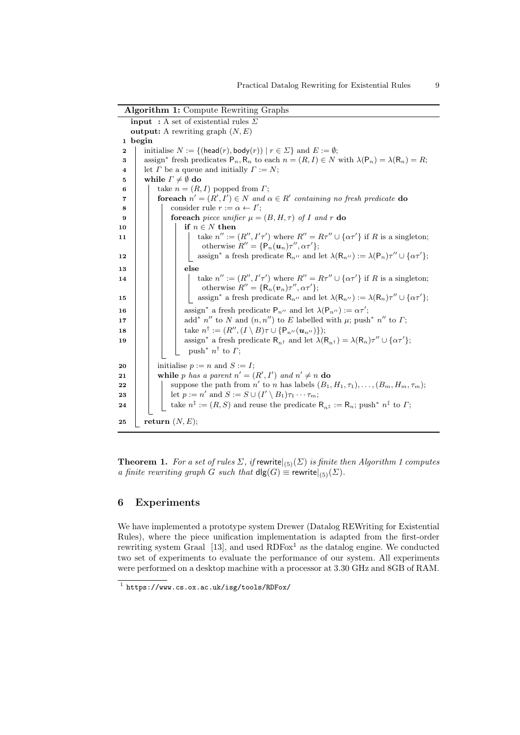| Argorium 1: Compute Rewriting Graphs                                                                                                                 |  |  |  |  |  |  |  |  |
|------------------------------------------------------------------------------------------------------------------------------------------------------|--|--|--|--|--|--|--|--|
| <b>input</b> : A set of existential rules $\Sigma$                                                                                                   |  |  |  |  |  |  |  |  |
| <b>output:</b> A rewriting graph $(N, E)$                                                                                                            |  |  |  |  |  |  |  |  |
| 1 begin                                                                                                                                              |  |  |  |  |  |  |  |  |
| initialise $N := \{(\text{head}(r), \text{body}(r)) \mid r \in \Sigma\}$ and $E := \emptyset$ ;                                                      |  |  |  |  |  |  |  |  |
| assign* fresh predicates $P_n$ , $R_n$ to each $n = (R, I) \in N$ with $\lambda(P_n) = \lambda(R_n) = R$ ;<br>3                                      |  |  |  |  |  |  |  |  |
| let $\Gamma$ be a queue and initially $\Gamma := N$ ;                                                                                                |  |  |  |  |  |  |  |  |
| while $\Gamma \neq \emptyset$ do                                                                                                                     |  |  |  |  |  |  |  |  |
| take $n = (R, I)$ popped from $\Gamma$ ;                                                                                                             |  |  |  |  |  |  |  |  |
| <b>foreach</b> $n' = (R', I') \in N$ and $\alpha \in R'$ containing no fresh predicate <b>do</b>                                                     |  |  |  |  |  |  |  |  |
| consider rule $r := \alpha \leftarrow I'$ ;                                                                                                          |  |  |  |  |  |  |  |  |
| <b>for<br/>each</b> piece unifier $\mu = (B, H, \tau)$ of I and r do                                                                                 |  |  |  |  |  |  |  |  |
| if $n \in N$ then                                                                                                                                    |  |  |  |  |  |  |  |  |
| take $n'' := (R'', I'\tau')$ where $R'' = R\tau'' \cup {\alpha\tau'}$ if R is a singleton;                                                           |  |  |  |  |  |  |  |  |
| otherwise $R'' = \{P_n(\boldsymbol{u}_n)\tau'', \alpha\tau'\};$                                                                                      |  |  |  |  |  |  |  |  |
| assign* a fresh predicate $R_{n''}$ and let $\lambda(R_{n''}) := \lambda(P_n)\tau'' \cup {\alpha\tau'}$ ;                                            |  |  |  |  |  |  |  |  |
| else                                                                                                                                                 |  |  |  |  |  |  |  |  |
| take $n'' := (R'', I'\tau')$ where $R'' = R\tau'' \cup {\alpha\tau'}$ if R is a singleton;                                                           |  |  |  |  |  |  |  |  |
| otherwise $R'' = \{R_n(\mathbf{v}_n)\tau'', \alpha\tau'\};$                                                                                          |  |  |  |  |  |  |  |  |
| assign <sup>*</sup> a fresh predicate $R_{n''}$ and let $\lambda(R_{n''}) := \lambda(R_n)\tau'' \cup {\alpha\tau'};$                                 |  |  |  |  |  |  |  |  |
| assign <sup>*</sup> a fresh predicate $P_{n''}$ and let $\lambda(P_{n''}) := \alpha \tau'$ ;                                                         |  |  |  |  |  |  |  |  |
| add <sup>*</sup> n'' to N and $(n, n'')$ to E labelled with $\mu$ ; push <sup>*</sup> n'' to $\Gamma$ ;                                              |  |  |  |  |  |  |  |  |
| take $n^{\dagger} := (R'', (I \setminus B)\tau \cup \{P_{n''}(u_{n''})\});$                                                                          |  |  |  |  |  |  |  |  |
| assign* a fresh predicate $R_{n^{\dagger}}$ and let $\lambda(R_{n^{\dagger}}) = \lambda(R_n)\tau'' \cup {\alpha\tau'};$                              |  |  |  |  |  |  |  |  |
| push <sup>*</sup> $n^{\dagger}$ to $\Gamma$ ;                                                                                                        |  |  |  |  |  |  |  |  |
|                                                                                                                                                      |  |  |  |  |  |  |  |  |
| initialise $p := n$ and $S := I$ ;                                                                                                                   |  |  |  |  |  |  |  |  |
| while p has a parent $n' = (R', I')$ and $n' \neq n$ do                                                                                              |  |  |  |  |  |  |  |  |
| suppose the path from n' to n has labels $(B_1, H_1, \tau_1), \ldots, (B_m, H_m, \tau_m)$ ;                                                          |  |  |  |  |  |  |  |  |
| let $p := n'$ and $S := S \cup (I' \setminus B_1)\tau_1 \cdots \tau_m$ ;                                                                             |  |  |  |  |  |  |  |  |
| take $n^{\ddagger} := (R, S)$ and reuse the predicate $\mathsf{R}_{n^{\ddagger}} := \mathsf{R}_{n}$ ; push <sup>*</sup> $n^{\ddagger}$ to $\Gamma$ ; |  |  |  |  |  |  |  |  |
| return $(N, E);$                                                                                                                                     |  |  |  |  |  |  |  |  |
|                                                                                                                                                      |  |  |  |  |  |  |  |  |

Algorithm 1: Compute Rewriting Graphs

**Theorem 1.** For a set of rules  $\Sigma$ , if rewrite $|_{(5)}(\Sigma)$  is finite then Algorithm 1 computes a finite rewriting graph G such that  $\text{dlg}(G) \equiv \text{rewrite}|_{(5)}(\Sigma)$ .

# 6 Experiments

We have implemented a prototype system Drewer (Datalog REWriting for Existential Rules), where the piece unification implementation is adapted from the first-order rewriting system Graal  $[13]$ , and used  $RDFox<sup>1</sup>$  as the datalog engine. We conducted two set of experiments to evaluate the performance of our system. All experiments were performed on a desktop machine with a processor at 3.30 GHz and 8GB of RAM.

<sup>1</sup> https://www.cs.ox.ac.uk/isg/tools/RDFox/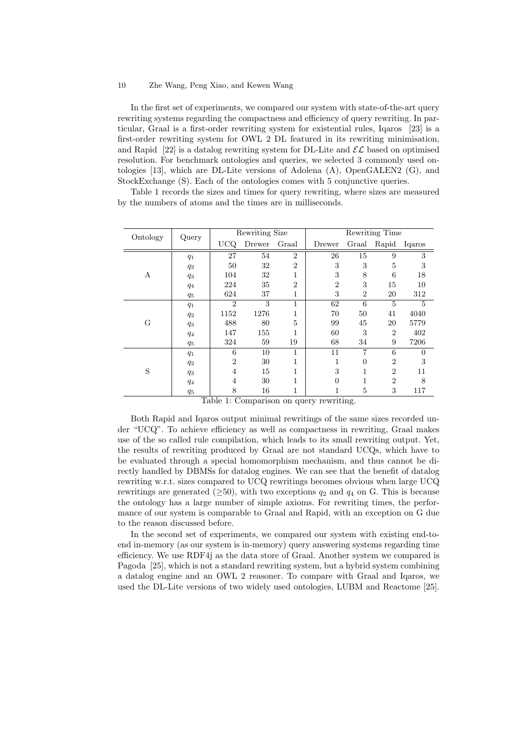#### 10 Zhe Wang, Peng Xiao, and Kewen Wang

In the first set of experiments, we compared our system with state-of-the-art query rewriting systems regarding the compactness and efficiency of query rewriting. In particular, Graal is a first-order rewriting system for existential rules, Iqaros [23] is a first-order rewriting system for OWL 2 DL featured in its rewriting minimisation, and Rapid [22] is a datalog rewriting system for DL-Lite and  $\mathcal{EL}$  based on optimised resolution. For benchmark ontologies and queries, we selected 3 commonly used ontologies [13], which are DL-Lite versions of Adolena (A), OpenGALEN2 (G), and StockExchange (S). Each of the ontologies comes with 5 conjunctive queries.

Table 1 records the sizes and times for query rewriting, where sizes are measured by the numbers of atoms and the times are in milliseconds.

| Ontology | Query |                | Rewriting Size |                | Rewriting Time |                |                |          |
|----------|-------|----------------|----------------|----------------|----------------|----------------|----------------|----------|
|          |       | <b>UCQ</b>     | Drewer         | Graal          | Drewer         | Graal          | Rapid          | Igaros   |
| А        | $q_1$ | 27             | 54             | $\overline{2}$ | 26             | 15             | 9              | 3        |
|          | $q_2$ | 50             | 32             | $\overline{2}$ | 3              | 3              | 5              | 3        |
|          | $q_3$ | 104            | 32             | 1              | 3              | 8              | 6              | 18       |
|          | $q_4$ | 224            | 35             | $\overline{2}$ | $\overline{2}$ | 3              | 15             | 10       |
|          | $q_5$ | 624            | 37             | 1              | 3              | $\overline{2}$ | 20             | 312      |
| G        | $q_1$ | $\overline{2}$ | 3              | 1              | 62             | 6              | 5              | 5        |
|          | $q_2$ | 1152           | 1276           |                | 70             | 50             | 41             | 4040     |
|          | $q_3$ | 488            | 80             | 5              | 99             | 45             | 20             | 5779     |
|          | $q_4$ | 147            | 155            | 1              | 60             | 3              | $\overline{2}$ | 402      |
|          | $q_5$ | 324            | 59             | 19             | 68             | 34             | 9              | 7206     |
| S        | $q_1$ | 6              | 10             | 1              | 11             | 7              | 6              | $\theta$ |
|          | $q_2$ | $\overline{2}$ | 30             | 1              | 1              | $\overline{0}$ | $\overline{2}$ | 3        |
|          | $q_3$ | 4              | 15             | 1              | 3              | 1              | $\overline{2}$ | 11       |
|          | $q_4$ | 4              | 30             | 1              | $\Omega$       | 1              | $\overline{2}$ | 8        |
|          | $q_5$ | 8              | 16             | 1              |                | 5              | 3              | 117      |

Table 1: Comparison on query rewriting.

Both Rapid and Iqaros output minimal rewritings of the same sizes recorded under "UCQ". To achieve efficiency as well as compactness in rewriting, Graal makes use of the so called rule compilation, which leads to its small rewriting output. Yet, the results of rewriting produced by Graal are not standard UCQs, which have to be evaluated through a special homomorphism mechanism, and thus cannot be directly handled by DBMSs for datalog engines. We can see that the benefit of datalog rewriting w.r.t. sizes compared to UCQ rewritings becomes obvious when large UCQ rewritings are generated ( $\geq 50$ ), with two exceptions  $q_2$  and  $q_4$  on G. This is because the ontology has a large number of simple axioms. For rewriting times, the performance of our system is comparable to Graal and Rapid, with an exception on G due to the reason discussed before.

In the second set of experiments, we compared our system with existing end-toend in-memory (as our system is in-memory) query answering systems regarding time efficiency. We use RDF4j as the data store of Graal. Another system we compared is Pagoda [25], which is not a standard rewriting system, but a hybrid system combining a datalog engine and an OWL 2 reasoner. To compare with Graal and Iqaros, we used the DL-Lite versions of two widely used ontologies, LUBM and Reactome [25].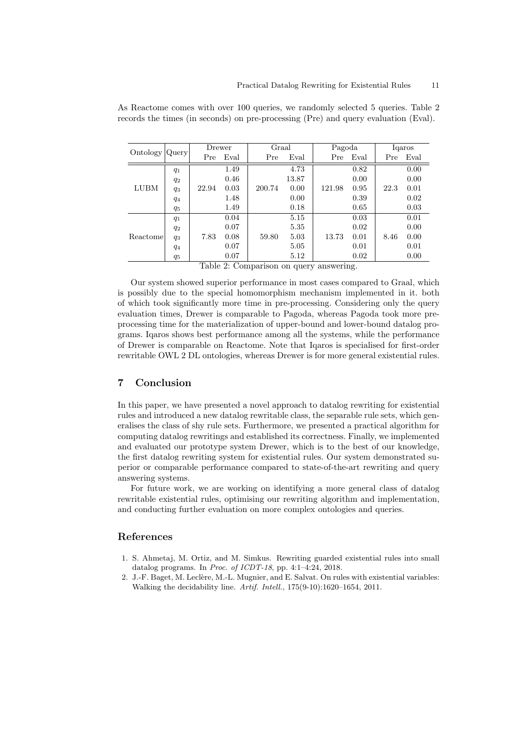| Ontology | Query | Drewer |      | Graal  |       | Pagoda |      | Igaros |      |
|----------|-------|--------|------|--------|-------|--------|------|--------|------|
|          |       | Pre    | Eval | Pre    | Eval  | Pre    | Eval | Pre    | Eval |
| LUBM     | $q_1$ |        | 1.49 |        | 4.73  |        | 0.82 |        | 0.00 |
|          | $q_2$ |        | 0.46 |        | 13.87 |        | 0.00 |        | 0.00 |
|          | $q_3$ | 22.94  | 0.03 | 200.74 | 0.00  | 121.98 | 0.95 | 22.3   | 0.01 |
|          | $q_4$ |        | 1.48 |        | 0.00  |        | 0.39 |        | 0.02 |
|          | $q_5$ |        | 1.49 |        | 0.18  |        | 0.65 |        | 0.03 |
| Reactome | $q_1$ |        | 0.04 |        | 5.15  |        | 0.03 |        | 0.01 |
|          | $q_2$ |        | 0.07 |        | 5.35  |        | 0.02 |        | 0.00 |
|          | $q_3$ | 7.83   | 0.08 | 59.80  | 5.03  | 13.73  | 0.01 | 8.46   | 0.00 |
|          | $q_4$ |        | 0.07 |        | 5.05  |        | 0.01 |        | 0.01 |
|          | $q_5$ |        | 0.07 |        | 5.12  |        | 0.02 |        | 0.00 |

As Reactome comes with over 100 queries, we randomly selected 5 queries. Table 2 records the times (in seconds) on pre-processing (Pre) and query evaluation (Eval).

Table 2: Comparison on query answering.

Our system showed superior performance in most cases compared to Graal, which is possibly due to the special homomorphism mechanism implemented in it. both of which took significantly more time in pre-processing. Considering only the query evaluation times, Drewer is comparable to Pagoda, whereas Pagoda took more preprocessing time for the materialization of upper-bound and lower-bound datalog programs. Iqaros shows best performance among all the systems, while the performance of Drewer is comparable on Reactome. Note that Iqaros is specialised for first-order rewritable OWL 2 DL ontologies, whereas Drewer is for more general existential rules.

## 7 Conclusion

In this paper, we have presented a novel approach to datalog rewriting for existential rules and introduced a new datalog rewritable class, the separable rule sets, which generalises the class of shy rule sets. Furthermore, we presented a practical algorithm for computing datalog rewritings and established its correctness. Finally, we implemented and evaluated our prototype system Drewer, which is to the best of our knowledge, the first datalog rewriting system for existential rules. Our system demonstrated superior or comparable performance compared to state-of-the-art rewriting and query answering systems.

For future work, we are working on identifying a more general class of datalog rewritable existential rules, optimising our rewriting algorithm and implementation, and conducting further evaluation on more complex ontologies and queries.

### References

- 1. S. Ahmetaj, M. Ortiz, and M. Simkus. Rewriting guarded existential rules into small datalog programs. In Proc. of ICDT-18, pp. 4:1–4:24, 2018.
- 2. J.-F. Baget, M. Leclère, M.-L. Mugnier, and E. Salvat. On rules with existential variables: Walking the decidability line. Artif. Intell., 175(9-10):1620–1654, 2011.